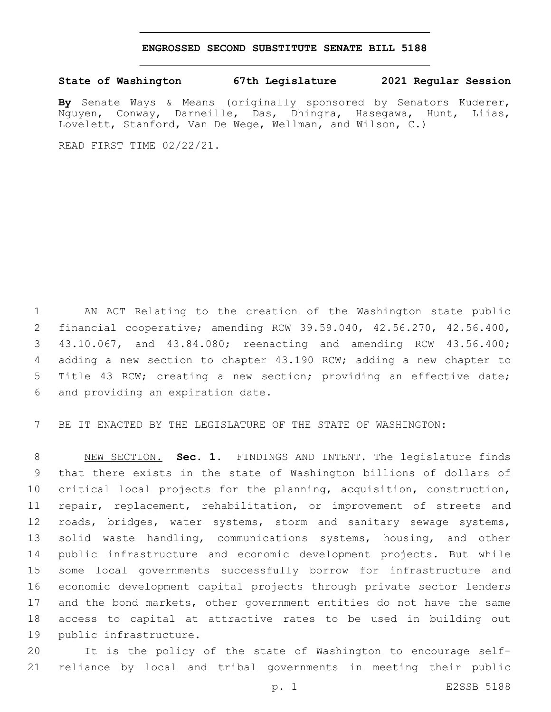## **ENGROSSED SECOND SUBSTITUTE SENATE BILL 5188**

## **State of Washington 67th Legislature 2021 Regular Session**

**By** Senate Ways & Means (originally sponsored by Senators Kuderer, Nguyen, Conway, Darneille, Das, Dhingra, Hasegawa, Hunt, Liias, Lovelett, Stanford, Van De Wege, Wellman, and Wilson, C.)

READ FIRST TIME 02/22/21.

 AN ACT Relating to the creation of the Washington state public financial cooperative; amending RCW 39.59.040, 42.56.270, 42.56.400, 43.10.067, and 43.84.080; reenacting and amending RCW 43.56.400; adding a new section to chapter 43.190 RCW; adding a new chapter to Title 43 RCW; creating a new section; providing an effective date; 6 and providing an expiration date.

BE IT ENACTED BY THE LEGISLATURE OF THE STATE OF WASHINGTON:

 NEW SECTION. **Sec. 1.** FINDINGS AND INTENT. The legislature finds that there exists in the state of Washington billions of dollars of critical local projects for the planning, acquisition, construction, repair, replacement, rehabilitation, or improvement of streets and 12 roads, bridges, water systems, storm and sanitary sewage systems, 13 solid waste handling, communications systems, housing, and other public infrastructure and economic development projects. But while some local governments successfully borrow for infrastructure and economic development capital projects through private sector lenders and the bond markets, other government entities do not have the same access to capital at attractive rates to be used in building out public infrastructure.

 It is the policy of the state of Washington to encourage self-reliance by local and tribal governments in meeting their public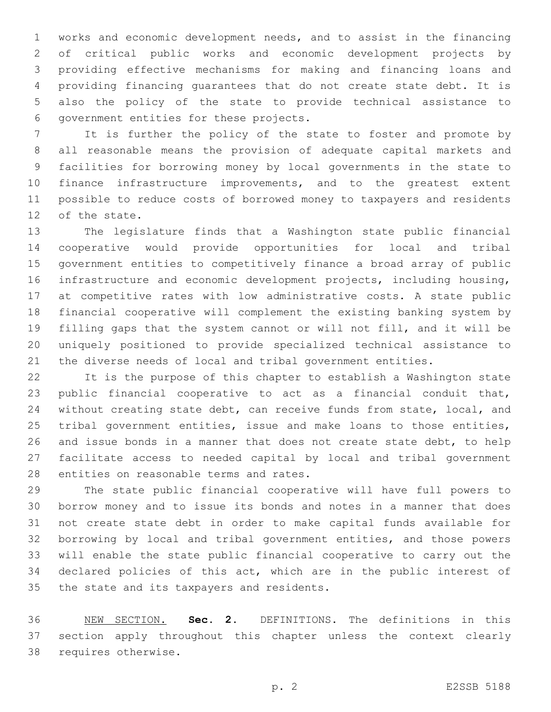works and economic development needs, and to assist in the financing of critical public works and economic development projects by providing effective mechanisms for making and financing loans and providing financing guarantees that do not create state debt. It is also the policy of the state to provide technical assistance to 6 government entities for these projects.

 It is further the policy of the state to foster and promote by all reasonable means the provision of adequate capital markets and facilities for borrowing money by local governments in the state to finance infrastructure improvements, and to the greatest extent possible to reduce costs of borrowed money to taxpayers and residents 12 of the state.

 The legislature finds that a Washington state public financial cooperative would provide opportunities for local and tribal government entities to competitively finance a broad array of public infrastructure and economic development projects, including housing, at competitive rates with low administrative costs. A state public financial cooperative will complement the existing banking system by filling gaps that the system cannot or will not fill, and it will be uniquely positioned to provide specialized technical assistance to the diverse needs of local and tribal government entities.

 It is the purpose of this chapter to establish a Washington state public financial cooperative to act as a financial conduit that, without creating state debt, can receive funds from state, local, and tribal government entities, issue and make loans to those entities, and issue bonds in a manner that does not create state debt, to help facilitate access to needed capital by local and tribal government 28 entities on reasonable terms and rates.

 The state public financial cooperative will have full powers to borrow money and to issue its bonds and notes in a manner that does not create state debt in order to make capital funds available for borrowing by local and tribal government entities, and those powers will enable the state public financial cooperative to carry out the declared policies of this act, which are in the public interest of 35 the state and its taxpayers and residents.

 NEW SECTION. **Sec. 2.** DEFINITIONS. The definitions in this section apply throughout this chapter unless the context clearly requires otherwise.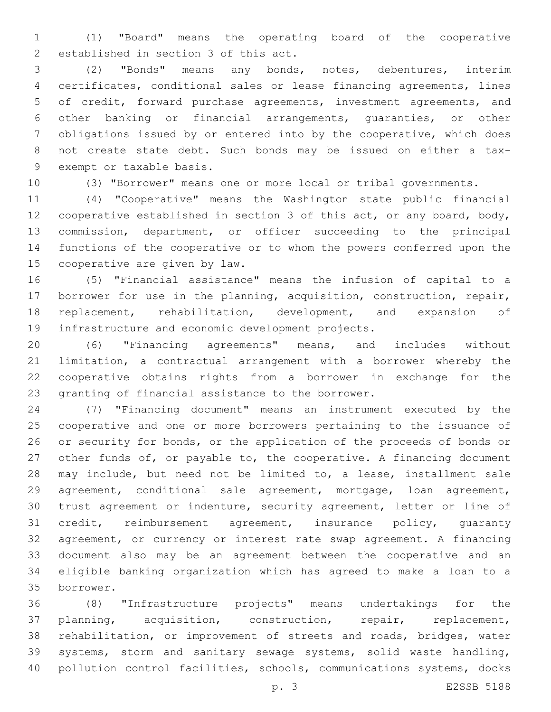(1) "Board" means the operating board of the cooperative 2 established in section 3 of this act.

 (2) "Bonds" means any bonds, notes, debentures, interim certificates, conditional sales or lease financing agreements, lines of credit, forward purchase agreements, investment agreements, and other banking or financial arrangements, guaranties, or other obligations issued by or entered into by the cooperative, which does not create state debt. Such bonds may be issued on either a tax-9 exempt or taxable basis.

(3) "Borrower" means one or more local or tribal governments.

 (4) "Cooperative" means the Washington state public financial cooperative established in section 3 of this act, or any board, body, commission, department, or officer succeeding to the principal functions of the cooperative or to whom the powers conferred upon the 15 cooperative are given by law.

 (5) "Financial assistance" means the infusion of capital to a borrower for use in the planning, acquisition, construction, repair, replacement, rehabilitation, development, and expansion of 19 infrastructure and economic development projects.

 (6) "Financing agreements" means, and includes without limitation, a contractual arrangement with a borrower whereby the cooperative obtains rights from a borrower in exchange for the 23 granting of financial assistance to the borrower.

 (7) "Financing document" means an instrument executed by the cooperative and one or more borrowers pertaining to the issuance of or security for bonds, or the application of the proceeds of bonds or other funds of, or payable to, the cooperative. A financing document may include, but need not be limited to, a lease, installment sale agreement, conditional sale agreement, mortgage, loan agreement, trust agreement or indenture, security agreement, letter or line of credit, reimbursement agreement, insurance policy, guaranty agreement, or currency or interest rate swap agreement. A financing document also may be an agreement between the cooperative and an eligible banking organization which has agreed to make a loan to a borrower.35

 (8) "Infrastructure projects" means undertakings for the planning, acquisition, construction, repair, replacement, rehabilitation, or improvement of streets and roads, bridges, water systems, storm and sanitary sewage systems, solid waste handling, pollution control facilities, schools, communications systems, docks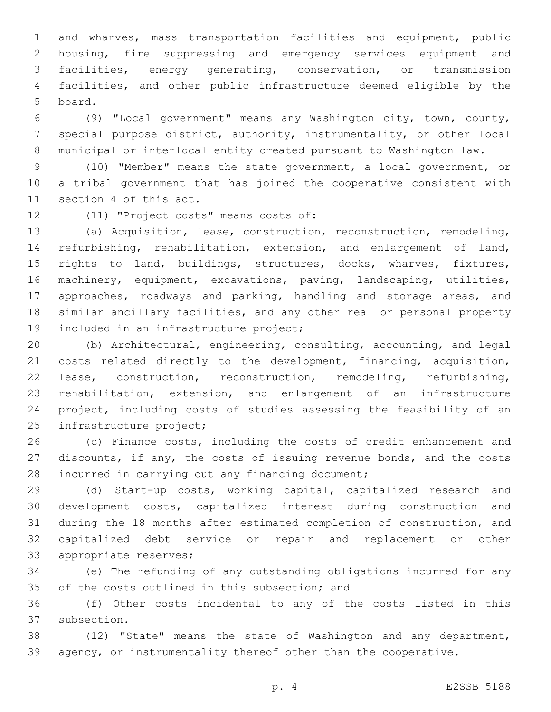and wharves, mass transportation facilities and equipment, public housing, fire suppressing and emergency services equipment and facilities, energy generating, conservation, or transmission facilities, and other public infrastructure deemed eligible by the 5 board.

 (9) "Local government" means any Washington city, town, county, special purpose district, authority, instrumentality, or other local municipal or interlocal entity created pursuant to Washington law.

 (10) "Member" means the state government, a local government, or a tribal government that has joined the cooperative consistent with 11 section 4 of this act.

12 (11) "Project costs" means costs of:

 (a) Acquisition, lease, construction, reconstruction, remodeling, refurbishing, rehabilitation, extension, and enlargement of land, rights to land, buildings, structures, docks, wharves, fixtures, machinery, equipment, excavations, paving, landscaping, utilities, approaches, roadways and parking, handling and storage areas, and similar ancillary facilities, and any other real or personal property 19 included in an infrastructure project;

 (b) Architectural, engineering, consulting, accounting, and legal costs related directly to the development, financing, acquisition, lease, construction, reconstruction, remodeling, refurbishing, rehabilitation, extension, and enlargement of an infrastructure project, including costs of studies assessing the feasibility of an 25 infrastructure project;

 (c) Finance costs, including the costs of credit enhancement and discounts, if any, the costs of issuing revenue bonds, and the costs 28 incurred in carrying out any financing document;

 (d) Start-up costs, working capital, capitalized research and development costs, capitalized interest during construction and during the 18 months after estimated completion of construction, and capitalized debt service or repair and replacement or other 33 appropriate reserves;

 (e) The refunding of any outstanding obligations incurred for any 35 of the costs outlined in this subsection; and

 (f) Other costs incidental to any of the costs listed in this 37 subsection.

 (12) "State" means the state of Washington and any department, agency, or instrumentality thereof other than the cooperative.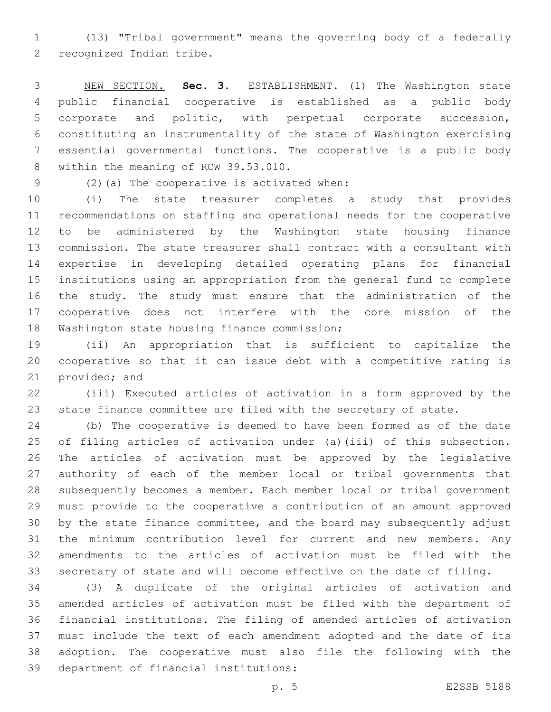(13) "Tribal government" means the governing body of a federally 2 recognized Indian tribe.

 NEW SECTION. **Sec. 3.** ESTABLISHMENT. (1) The Washington state public financial cooperative is established as a public body corporate and politic, with perpetual corporate succession, constituting an instrumentality of the state of Washington exercising essential governmental functions. The cooperative is a public body within the meaning of RCW 39.53.010.

(2)(a) The cooperative is activated when:9

 (i) The state treasurer completes a study that provides recommendations on staffing and operational needs for the cooperative to be administered by the Washington state housing finance commission. The state treasurer shall contract with a consultant with expertise in developing detailed operating plans for financial institutions using an appropriation from the general fund to complete the study. The study must ensure that the administration of the cooperative does not interfere with the core mission of the 18 Washington state housing finance commission;

 (ii) An appropriation that is sufficient to capitalize the cooperative so that it can issue debt with a competitive rating is 21 provided; and

 (iii) Executed articles of activation in a form approved by the state finance committee are filed with the secretary of state.

 (b) The cooperative is deemed to have been formed as of the date of filing articles of activation under (a)(iii) of this subsection. The articles of activation must be approved by the legislative authority of each of the member local or tribal governments that subsequently becomes a member. Each member local or tribal government must provide to the cooperative a contribution of an amount approved by the state finance committee, and the board may subsequently adjust the minimum contribution level for current and new members. Any amendments to the articles of activation must be filed with the secretary of state and will become effective on the date of filing.

 (3) A duplicate of the original articles of activation and amended articles of activation must be filed with the department of financial institutions. The filing of amended articles of activation must include the text of each amendment adopted and the date of its adoption. The cooperative must also file the following with the 39 department of financial institutions: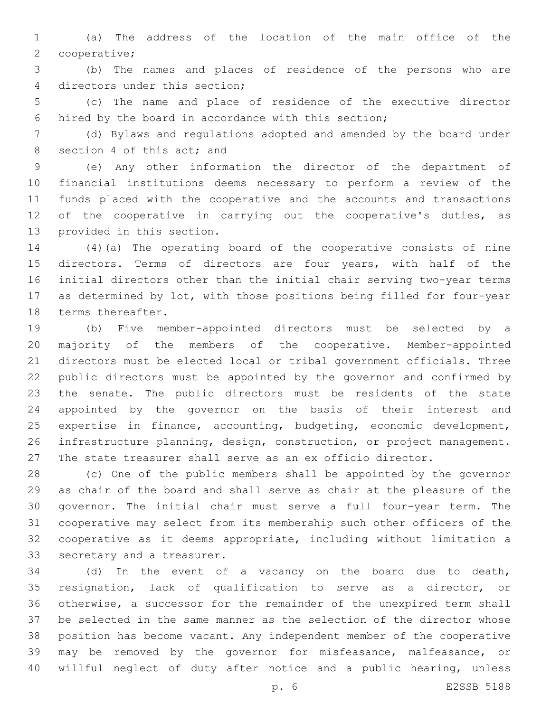(a) The address of the location of the main office of the 2 cooperative;

 (b) The names and places of residence of the persons who are 4 directors under this section;

 (c) The name and place of residence of the executive director hired by the board in accordance with this section;

 (d) Bylaws and regulations adopted and amended by the board under 8 section 4 of this act; and

 (e) Any other information the director of the department of financial institutions deems necessary to perform a review of the funds placed with the cooperative and the accounts and transactions 12 of the cooperative in carrying out the cooperative's duties, as 13 provided in this section.

 (4)(a) The operating board of the cooperative consists of nine directors. Terms of directors are four years, with half of the initial directors other than the initial chair serving two-year terms as determined by lot, with those positions being filled for four-year 18 terms thereafter.

 (b) Five member-appointed directors must be selected by a majority of the members of the cooperative. Member-appointed directors must be elected local or tribal government officials. Three public directors must be appointed by the governor and confirmed by the senate. The public directors must be residents of the state appointed by the governor on the basis of their interest and expertise in finance, accounting, budgeting, economic development, infrastructure planning, design, construction, or project management. The state treasurer shall serve as an ex officio director.

 (c) One of the public members shall be appointed by the governor as chair of the board and shall serve as chair at the pleasure of the governor. The initial chair must serve a full four-year term. The cooperative may select from its membership such other officers of the cooperative as it deems appropriate, including without limitation a 33 secretary and a treasurer.

 (d) In the event of a vacancy on the board due to death, resignation, lack of qualification to serve as a director, or otherwise, a successor for the remainder of the unexpired term shall be selected in the same manner as the selection of the director whose position has become vacant. Any independent member of the cooperative may be removed by the governor for misfeasance, malfeasance, or willful neglect of duty after notice and a public hearing, unless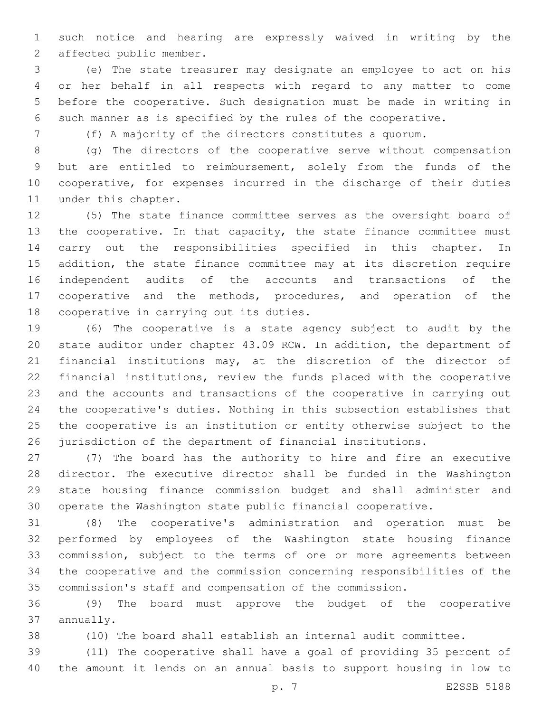such notice and hearing are expressly waived in writing by the 2 affected public member.

 (e) The state treasurer may designate an employee to act on his or her behalf in all respects with regard to any matter to come before the cooperative. Such designation must be made in writing in such manner as is specified by the rules of the cooperative.

(f) A majority of the directors constitutes a quorum.

 (g) The directors of the cooperative serve without compensation but are entitled to reimbursement, solely from the funds of the cooperative, for expenses incurred in the discharge of their duties 11 under this chapter.

 (5) The state finance committee serves as the oversight board of 13 the cooperative. In that capacity, the state finance committee must carry out the responsibilities specified in this chapter. In addition, the state finance committee may at its discretion require independent audits of the accounts and transactions of the cooperative and the methods, procedures, and operation of the 18 cooperative in carrying out its duties.

 (6) The cooperative is a state agency subject to audit by the state auditor under chapter 43.09 RCW. In addition, the department of financial institutions may, at the discretion of the director of financial institutions, review the funds placed with the cooperative and the accounts and transactions of the cooperative in carrying out the cooperative's duties. Nothing in this subsection establishes that the cooperative is an institution or entity otherwise subject to the jurisdiction of the department of financial institutions.

 (7) The board has the authority to hire and fire an executive director. The executive director shall be funded in the Washington state housing finance commission budget and shall administer and operate the Washington state public financial cooperative.

 (8) The cooperative's administration and operation must be performed by employees of the Washington state housing finance commission, subject to the terms of one or more agreements between the cooperative and the commission concerning responsibilities of the commission's staff and compensation of the commission.

 (9) The board must approve the budget of the cooperative 37 annually.

(10) The board shall establish an internal audit committee.

 (11) The cooperative shall have a goal of providing 35 percent of the amount it lends on an annual basis to support housing in low to

p. 7 E2SSB 5188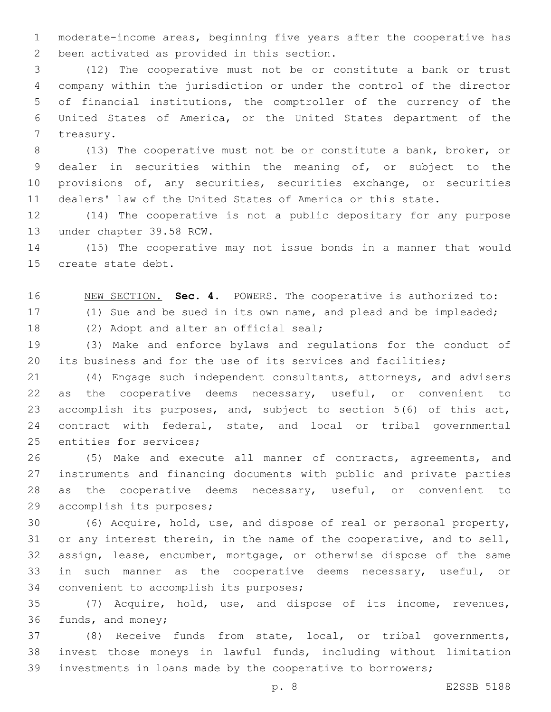moderate-income areas, beginning five years after the cooperative has 2 been activated as provided in this section.

 (12) The cooperative must not be or constitute a bank or trust company within the jurisdiction or under the control of the director of financial institutions, the comptroller of the currency of the United States of America, or the United States department of the 7 treasury.

 (13) The cooperative must not be or constitute a bank, broker, or dealer in securities within the meaning of, or subject to the provisions of, any securities, securities exchange, or securities dealers' law of the United States of America or this state.

 (14) The cooperative is not a public depositary for any purpose 13 under chapter 39.58 RCW.

 (15) The cooperative may not issue bonds in a manner that would 15 create state debt.

NEW SECTION. **Sec. 4.** POWERS. The cooperative is authorized to:

(1) Sue and be sued in its own name, and plead and be impleaded;

18 (2) Adopt and alter an official seal;

 (3) Make and enforce bylaws and regulations for the conduct of its business and for the use of its services and facilities;

 (4) Engage such independent consultants, attorneys, and advisers as the cooperative deems necessary, useful, or convenient to accomplish its purposes, and, subject to section 5(6) of this act, contract with federal, state, and local or tribal governmental 25 entities for services;

 (5) Make and execute all manner of contracts, agreements, and instruments and financing documents with public and private parties as the cooperative deems necessary, useful, or convenient to 29 accomplish its purposes;

 (6) Acquire, hold, use, and dispose of real or personal property, or any interest therein, in the name of the cooperative, and to sell, assign, lease, encumber, mortgage, or otherwise dispose of the same in such manner as the cooperative deems necessary, useful, or 34 convenient to accomplish its purposes;

 (7) Acquire, hold, use, and dispose of its income, revenues, 36 funds, and money;

 (8) Receive funds from state, local, or tribal governments, invest those moneys in lawful funds, including without limitation investments in loans made by the cooperative to borrowers;

p. 8 E2SSB 5188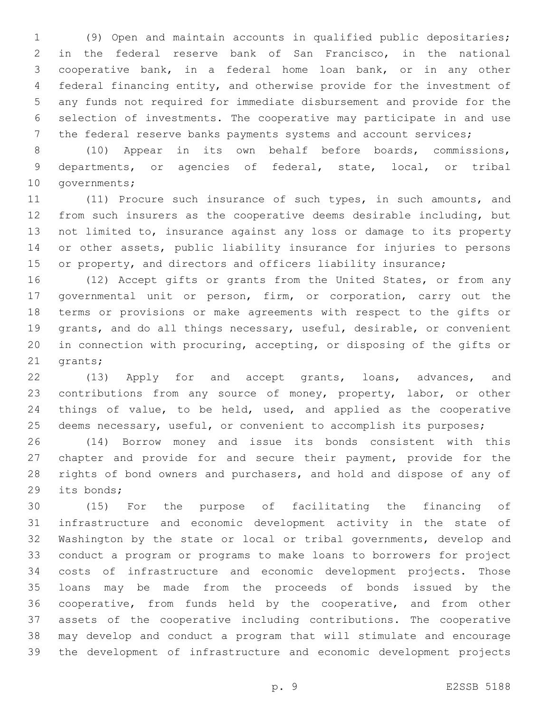(9) Open and maintain accounts in qualified public depositaries; in the federal reserve bank of San Francisco, in the national cooperative bank, in a federal home loan bank, or in any other federal financing entity, and otherwise provide for the investment of any funds not required for immediate disbursement and provide for the selection of investments. The cooperative may participate in and use the federal reserve banks payments systems and account services;

 (10) Appear in its own behalf before boards, commissions, departments, or agencies of federal, state, local, or tribal 10 governments;

 (11) Procure such insurance of such types, in such amounts, and from such insurers as the cooperative deems desirable including, but not limited to, insurance against any loss or damage to its property or other assets, public liability insurance for injuries to persons 15 or property, and directors and officers liability insurance;

 (12) Accept gifts or grants from the United States, or from any governmental unit or person, firm, or corporation, carry out the terms or provisions or make agreements with respect to the gifts or grants, and do all things necessary, useful, desirable, or convenient in connection with procuring, accepting, or disposing of the gifts or 21 grants;

22 (13) Apply for and accept grants, loans, advances, and contributions from any source of money, property, labor, or other things of value, to be held, used, and applied as the cooperative 25 deems necessary, useful, or convenient to accomplish its purposes;

 (14) Borrow money and issue its bonds consistent with this chapter and provide for and secure their payment, provide for the rights of bond owners and purchasers, and hold and dispose of any of 29 its bonds;

 (15) For the purpose of facilitating the financing of infrastructure and economic development activity in the state of Washington by the state or local or tribal governments, develop and conduct a program or programs to make loans to borrowers for project costs of infrastructure and economic development projects. Those loans may be made from the proceeds of bonds issued by the cooperative, from funds held by the cooperative, and from other assets of the cooperative including contributions. The cooperative may develop and conduct a program that will stimulate and encourage the development of infrastructure and economic development projects

p. 9 E2SSB 5188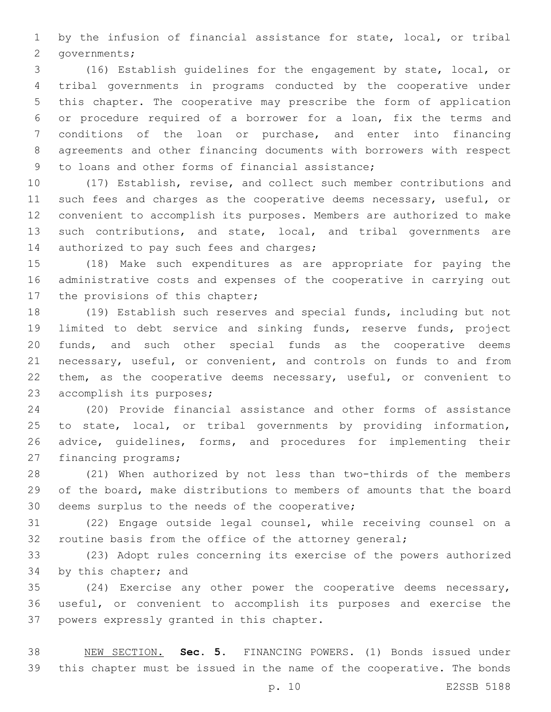by the infusion of financial assistance for state, local, or tribal 2 governments;

 (16) Establish guidelines for the engagement by state, local, or tribal governments in programs conducted by the cooperative under this chapter. The cooperative may prescribe the form of application or procedure required of a borrower for a loan, fix the terms and conditions of the loan or purchase, and enter into financing agreements and other financing documents with borrowers with respect 9 to loans and other forms of financial assistance;

 (17) Establish, revise, and collect such member contributions and 11 such fees and charges as the cooperative deems necessary, useful, or convenient to accomplish its purposes. Members are authorized to make such contributions, and state, local, and tribal governments are 14 authorized to pay such fees and charges;

 (18) Make such expenditures as are appropriate for paying the administrative costs and expenses of the cooperative in carrying out 17 the provisions of this chapter;

 (19) Establish such reserves and special funds, including but not limited to debt service and sinking funds, reserve funds, project funds, and such other special funds as the cooperative deems necessary, useful, or convenient, and controls on funds to and from 22 them, as the cooperative deems necessary, useful, or convenient to 23 accomplish its purposes;

 (20) Provide financial assistance and other forms of assistance to state, local, or tribal governments by providing information, advice, guidelines, forms, and procedures for implementing their 27 financing programs;

 (21) When authorized by not less than two-thirds of the members of the board, make distributions to members of amounts that the board 30 deems surplus to the needs of the cooperative;

 (22) Engage outside legal counsel, while receiving counsel on a 32 routine basis from the office of the attorney general;

 (23) Adopt rules concerning its exercise of the powers authorized 34 by this chapter; and

 (24) Exercise any other power the cooperative deems necessary, useful, or convenient to accomplish its purposes and exercise the 37 powers expressly granted in this chapter.

 NEW SECTION. **Sec. 5.** FINANCING POWERS. (1) Bonds issued under this chapter must be issued in the name of the cooperative. The bonds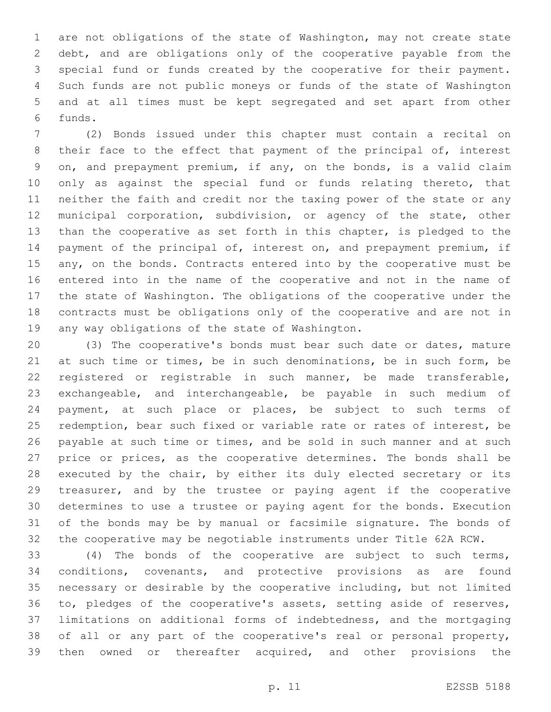are not obligations of the state of Washington, may not create state debt, and are obligations only of the cooperative payable from the special fund or funds created by the cooperative for their payment. Such funds are not public moneys or funds of the state of Washington and at all times must be kept segregated and set apart from other funds.6

 (2) Bonds issued under this chapter must contain a recital on 8 their face to the effect that payment of the principal of, interest on, and prepayment premium, if any, on the bonds, is a valid claim 10 only as against the special fund or funds relating thereto, that neither the faith and credit nor the taxing power of the state or any municipal corporation, subdivision, or agency of the state, other than the cooperative as set forth in this chapter, is pledged to the payment of the principal of, interest on, and prepayment premium, if 15 any, on the bonds. Contracts entered into by the cooperative must be entered into in the name of the cooperative and not in the name of the state of Washington. The obligations of the cooperative under the contracts must be obligations only of the cooperative and are not in 19 any way obligations of the state of Washington.

 (3) The cooperative's bonds must bear such date or dates, mature at such time or times, be in such denominations, be in such form, be registered or registrable in such manner, be made transferable, exchangeable, and interchangeable, be payable in such medium of payment, at such place or places, be subject to such terms of redemption, bear such fixed or variable rate or rates of interest, be 26 payable at such time or times, and be sold in such manner and at such 27 price or prices, as the cooperative determines. The bonds shall be executed by the chair, by either its duly elected secretary or its treasurer, and by the trustee or paying agent if the cooperative determines to use a trustee or paying agent for the bonds. Execution of the bonds may be by manual or facsimile signature. The bonds of the cooperative may be negotiable instruments under Title 62A RCW.

 (4) The bonds of the cooperative are subject to such terms, conditions, covenants, and protective provisions as are found necessary or desirable by the cooperative including, but not limited to, pledges of the cooperative's assets, setting aside of reserves, limitations on additional forms of indebtedness, and the mortgaging of all or any part of the cooperative's real or personal property, then owned or thereafter acquired, and other provisions the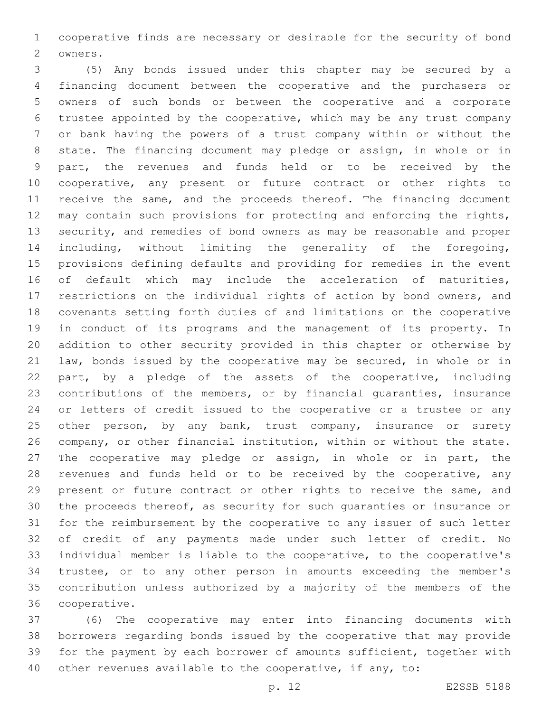cooperative finds are necessary or desirable for the security of bond 2 owners.

 (5) Any bonds issued under this chapter may be secured by a financing document between the cooperative and the purchasers or owners of such bonds or between the cooperative and a corporate trustee appointed by the cooperative, which may be any trust company or bank having the powers of a trust company within or without the state. The financing document may pledge or assign, in whole or in part, the revenues and funds held or to be received by the cooperative, any present or future contract or other rights to 11 receive the same, and the proceeds thereof. The financing document may contain such provisions for protecting and enforcing the rights, security, and remedies of bond owners as may be reasonable and proper including, without limiting the generality of the foregoing, provisions defining defaults and providing for remedies in the event 16 of default which may include the acceleration of maturities, restrictions on the individual rights of action by bond owners, and covenants setting forth duties of and limitations on the cooperative in conduct of its programs and the management of its property. In addition to other security provided in this chapter or otherwise by law, bonds issued by the cooperative may be secured, in whole or in part, by a pledge of the assets of the cooperative, including contributions of the members, or by financial guaranties, insurance or letters of credit issued to the cooperative or a trustee or any 25 other person, by any bank, trust company, insurance or surety company, or other financial institution, within or without the state. The cooperative may pledge or assign, in whole or in part, the 28 revenues and funds held or to be received by the cooperative, any present or future contract or other rights to receive the same, and the proceeds thereof, as security for such guaranties or insurance or for the reimbursement by the cooperative to any issuer of such letter of credit of any payments made under such letter of credit. No individual member is liable to the cooperative, to the cooperative's trustee, or to any other person in amounts exceeding the member's contribution unless authorized by a majority of the members of the 36 cooperative.

 (6) The cooperative may enter into financing documents with borrowers regarding bonds issued by the cooperative that may provide for the payment by each borrower of amounts sufficient, together with other revenues available to the cooperative, if any, to: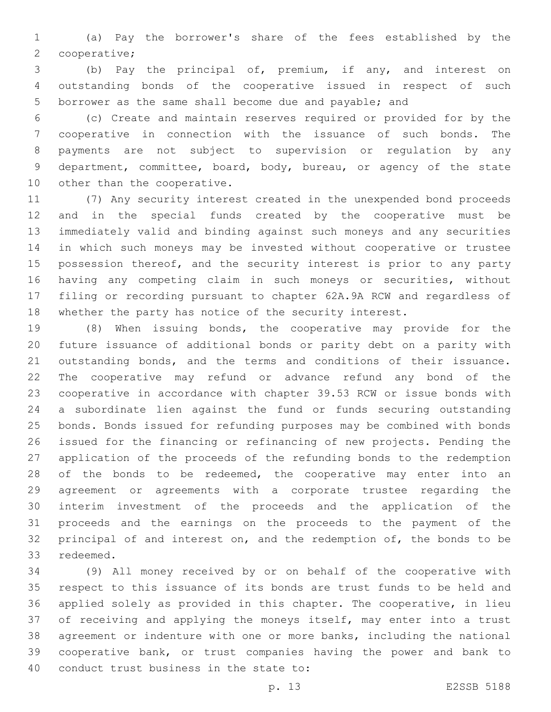(a) Pay the borrower's share of the fees established by the 2 cooperative;

 (b) Pay the principal of, premium, if any, and interest on outstanding bonds of the cooperative issued in respect of such borrower as the same shall become due and payable; and

 (c) Create and maintain reserves required or provided for by the cooperative in connection with the issuance of such bonds. The payments are not subject to supervision or regulation by any department, committee, board, body, bureau, or agency of the state 10 other than the cooperative.

 (7) Any security interest created in the unexpended bond proceeds and in the special funds created by the cooperative must be immediately valid and binding against such moneys and any securities in which such moneys may be invested without cooperative or trustee 15 possession thereof, and the security interest is prior to any party having any competing claim in such moneys or securities, without filing or recording pursuant to chapter 62A.9A RCW and regardless of whether the party has notice of the security interest.

 (8) When issuing bonds, the cooperative may provide for the future issuance of additional bonds or parity debt on a parity with outstanding bonds, and the terms and conditions of their issuance. The cooperative may refund or advance refund any bond of the cooperative in accordance with chapter 39.53 RCW or issue bonds with a subordinate lien against the fund or funds securing outstanding bonds. Bonds issued for refunding purposes may be combined with bonds issued for the financing or refinancing of new projects. Pending the application of the proceeds of the refunding bonds to the redemption 28 of the bonds to be redeemed, the cooperative may enter into an agreement or agreements with a corporate trustee regarding the interim investment of the proceeds and the application of the proceeds and the earnings on the proceeds to the payment of the 32 principal of and interest on, and the redemption of, the bonds to be 33 redeemed.

 (9) All money received by or on behalf of the cooperative with respect to this issuance of its bonds are trust funds to be held and applied solely as provided in this chapter. The cooperative, in lieu of receiving and applying the moneys itself, may enter into a trust agreement or indenture with one or more banks, including the national cooperative bank, or trust companies having the power and bank to 40 conduct trust business in the state to: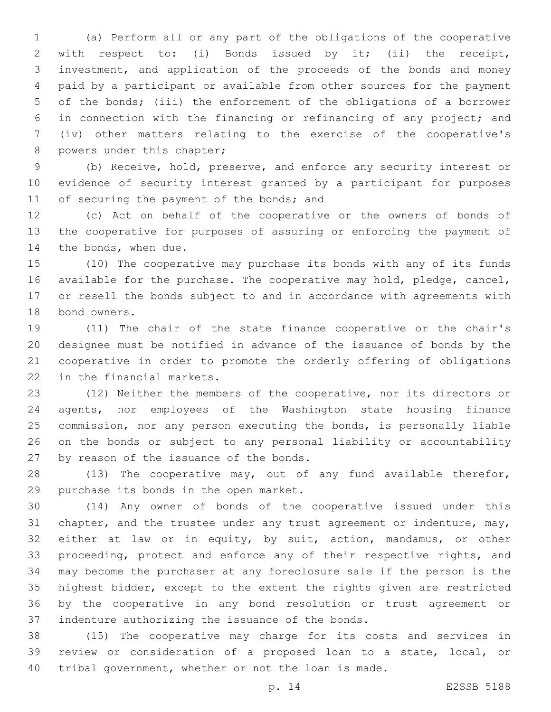(a) Perform all or any part of the obligations of the cooperative with respect to: (i) Bonds issued by it; (ii) the receipt, investment, and application of the proceeds of the bonds and money paid by a participant or available from other sources for the payment of the bonds; (iii) the enforcement of the obligations of a borrower in connection with the financing or refinancing of any project; and (iv) other matters relating to the exercise of the cooperative's 8 powers under this chapter;

 (b) Receive, hold, preserve, and enforce any security interest or evidence of security interest granted by a participant for purposes 11 of securing the payment of the bonds; and

 (c) Act on behalf of the cooperative or the owners of bonds of the cooperative for purposes of assuring or enforcing the payment of 14 the bonds, when due.

 (10) The cooperative may purchase its bonds with any of its funds available for the purchase. The cooperative may hold, pledge, cancel, or resell the bonds subject to and in accordance with agreements with 18 bond owners.

 (11) The chair of the state finance cooperative or the chair's designee must be notified in advance of the issuance of bonds by the cooperative in order to promote the orderly offering of obligations 22 in the financial markets.

 (12) Neither the members of the cooperative, nor its directors or agents, nor employees of the Washington state housing finance commission, nor any person executing the bonds, is personally liable on the bonds or subject to any personal liability or accountability 27 by reason of the issuance of the bonds.

 (13) The cooperative may, out of any fund available therefor, 29 purchase its bonds in the open market.

 (14) Any owner of bonds of the cooperative issued under this 31 chapter, and the trustee under any trust agreement or indenture, may, either at law or in equity, by suit, action, mandamus, or other 33 proceeding, protect and enforce any of their respective rights, and may become the purchaser at any foreclosure sale if the person is the highest bidder, except to the extent the rights given are restricted by the cooperative in any bond resolution or trust agreement or 37 indenture authorizing the issuance of the bonds.

 (15) The cooperative may charge for its costs and services in review or consideration of a proposed loan to a state, local, or tribal government, whether or not the loan is made.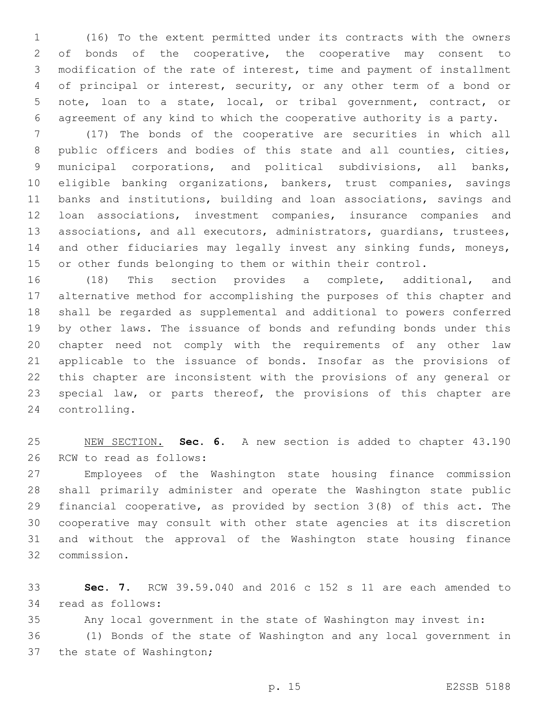(16) To the extent permitted under its contracts with the owners 2 of bonds of the cooperative, the cooperative may consent to modification of the rate of interest, time and payment of installment of principal or interest, security, or any other term of a bond or note, loan to a state, local, or tribal government, contract, or agreement of any kind to which the cooperative authority is a party.

 (17) The bonds of the cooperative are securities in which all public officers and bodies of this state and all counties, cities, municipal corporations, and political subdivisions, all banks, eligible banking organizations, bankers, trust companies, savings banks and institutions, building and loan associations, savings and loan associations, investment companies, insurance companies and associations, and all executors, administrators, guardians, trustees, 14 and other fiduciaries may legally invest any sinking funds, moneys, or other funds belonging to them or within their control.

 (18) This section provides a complete, additional, and alternative method for accomplishing the purposes of this chapter and shall be regarded as supplemental and additional to powers conferred by other laws. The issuance of bonds and refunding bonds under this chapter need not comply with the requirements of any other law applicable to the issuance of bonds. Insofar as the provisions of this chapter are inconsistent with the provisions of any general or special law, or parts thereof, the provisions of this chapter are 24 controlling.

 NEW SECTION. **Sec. 6.** A new section is added to chapter 43.190 26 RCW to read as follows:

 Employees of the Washington state housing finance commission shall primarily administer and operate the Washington state public financial cooperative, as provided by section 3(8) of this act. The cooperative may consult with other state agencies at its discretion and without the approval of the Washington state housing finance commission.32

 **Sec. 7.** RCW 39.59.040 and 2016 c 152 s 11 are each amended to 34 read as follows:

Any local government in the state of Washington may invest in:

 (1) Bonds of the state of Washington and any local government in 37 the state of Washington;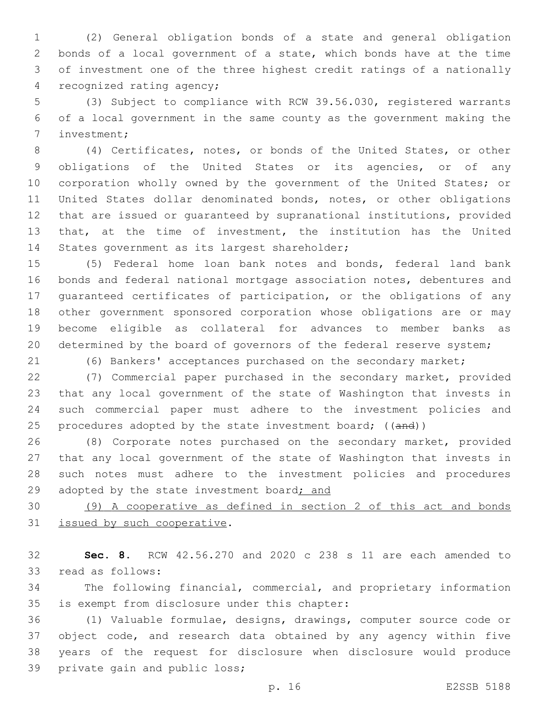(2) General obligation bonds of a state and general obligation bonds of a local government of a state, which bonds have at the time of investment one of the three highest credit ratings of a nationally 4 recognized rating agency;

 (3) Subject to compliance with RCW 39.56.030, registered warrants of a local government in the same county as the government making the 7 investment;

 (4) Certificates, notes, or bonds of the United States, or other obligations of the United States or its agencies, or of any 10 corporation wholly owned by the government of the United States; or United States dollar denominated bonds, notes, or other obligations that are issued or guaranteed by supranational institutions, provided that, at the time of investment, the institution has the United 14 States government as its largest shareholder;

 (5) Federal home loan bank notes and bonds, federal land bank bonds and federal national mortgage association notes, debentures and guaranteed certificates of participation, or the obligations of any other government sponsored corporation whose obligations are or may become eligible as collateral for advances to member banks as 20 determined by the board of governors of the federal reserve system;

(6) Bankers' acceptances purchased on the secondary market;

 (7) Commercial paper purchased in the secondary market, provided that any local government of the state of Washington that invests in such commercial paper must adhere to the investment policies and 25 procedures adopted by the state investment board; ((and))

 (8) Corporate notes purchased on the secondary market, provided that any local government of the state of Washington that invests in such notes must adhere to the investment policies and procedures 29 adopted by the state investment board; and

 (9) A cooperative as defined in section 2 of this act and bonds 31 issued by such cooperative.

 **Sec. 8.** RCW 42.56.270 and 2020 c 238 s 11 are each amended to 33 read as follows:

 The following financial, commercial, and proprietary information 35 is exempt from disclosure under this chapter:

 (1) Valuable formulae, designs, drawings, computer source code or object code, and research data obtained by any agency within five years of the request for disclosure when disclosure would produce 39 private gain and public loss;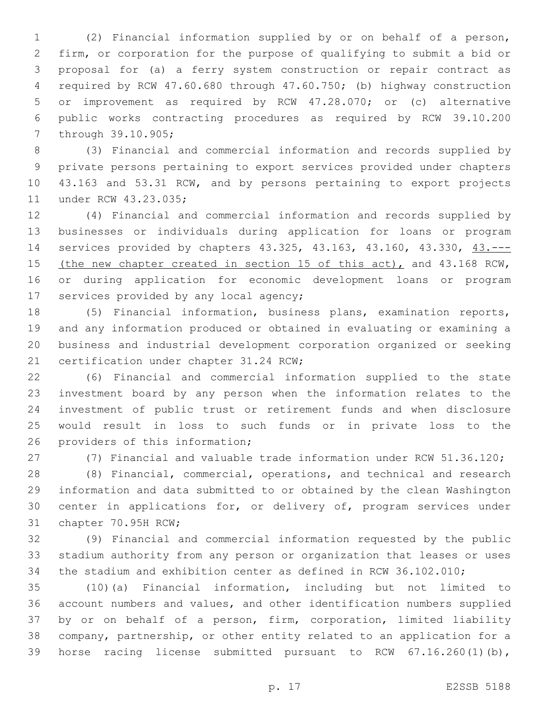(2) Financial information supplied by or on behalf of a person, firm, or corporation for the purpose of qualifying to submit a bid or proposal for (a) a ferry system construction or repair contract as required by RCW 47.60.680 through 47.60.750; (b) highway construction or improvement as required by RCW 47.28.070; or (c) alternative public works contracting procedures as required by RCW 39.10.200 7 through 39.10.905;

 (3) Financial and commercial information and records supplied by private persons pertaining to export services provided under chapters 43.163 and 53.31 RCW, and by persons pertaining to export projects 11 under RCW 43.23.035;

 (4) Financial and commercial information and records supplied by businesses or individuals during application for loans or program services provided by chapters 43.325, 43.163, 43.160, 43.330, 43.--- 15 (the new chapter created in section 15 of this act), and 43.168 RCW, or during application for economic development loans or program 17 services provided by any local agency;

 (5) Financial information, business plans, examination reports, and any information produced or obtained in evaluating or examining a business and industrial development corporation organized or seeking 21 certification under chapter 31.24 RCW;

 (6) Financial and commercial information supplied to the state investment board by any person when the information relates to the investment of public trust or retirement funds and when disclosure would result in loss to such funds or in private loss to the 26 providers of this information;

(7) Financial and valuable trade information under RCW 51.36.120;

 (8) Financial, commercial, operations, and technical and research information and data submitted to or obtained by the clean Washington center in applications for, or delivery of, program services under 31 chapter 70.95H RCW;

 (9) Financial and commercial information requested by the public stadium authority from any person or organization that leases or uses the stadium and exhibition center as defined in RCW 36.102.010;

 (10)(a) Financial information, including but not limited to account numbers and values, and other identification numbers supplied by or on behalf of a person, firm, corporation, limited liability company, partnership, or other entity related to an application for a horse racing license submitted pursuant to RCW 67.16.260(1)(b),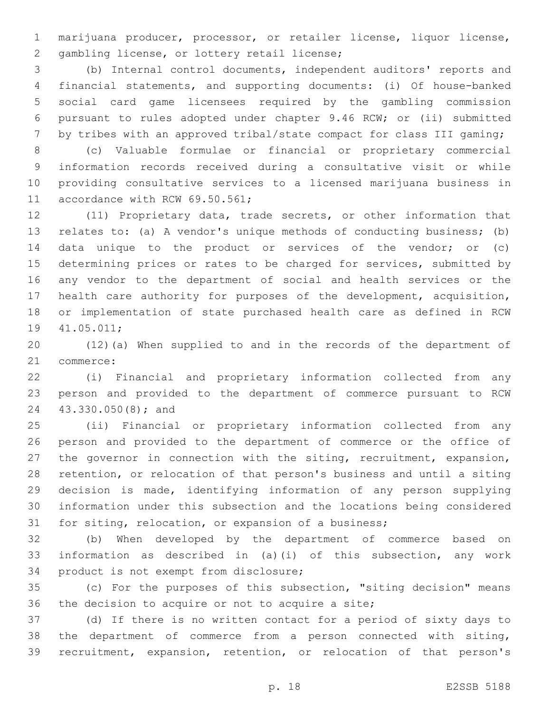marijuana producer, processor, or retailer license, liquor license, 2 gambling license, or lottery retail license;

 (b) Internal control documents, independent auditors' reports and financial statements, and supporting documents: (i) Of house-banked social card game licensees required by the gambling commission pursuant to rules adopted under chapter 9.46 RCW; or (ii) submitted by tribes with an approved tribal/state compact for class III gaming;

 (c) Valuable formulae or financial or proprietary commercial information records received during a consultative visit or while providing consultative services to a licensed marijuana business in 11 accordance with RCW 69.50.561;

 (11) Proprietary data, trade secrets, or other information that relates to: (a) A vendor's unique methods of conducting business; (b) data unique to the product or services of the vendor; or (c) determining prices or rates to be charged for services, submitted by any vendor to the department of social and health services or the health care authority for purposes of the development, acquisition, or implementation of state purchased health care as defined in RCW 19 41.05.011;

 (12)(a) When supplied to and in the records of the department of 21 commerce:

 (i) Financial and proprietary information collected from any person and provided to the department of commerce pursuant to RCW 43.330.050(8); and24

 (ii) Financial or proprietary information collected from any person and provided to the department of commerce or the office of the governor in connection with the siting, recruitment, expansion, retention, or relocation of that person's business and until a siting decision is made, identifying information of any person supplying information under this subsection and the locations being considered for siting, relocation, or expansion of a business;

 (b) When developed by the department of commerce based on information as described in (a)(i) of this subsection, any work 34 product is not exempt from disclosure;

 (c) For the purposes of this subsection, "siting decision" means 36 the decision to acquire or not to acquire a site;

 (d) If there is no written contact for a period of sixty days to the department of commerce from a person connected with siting, recruitment, expansion, retention, or relocation of that person's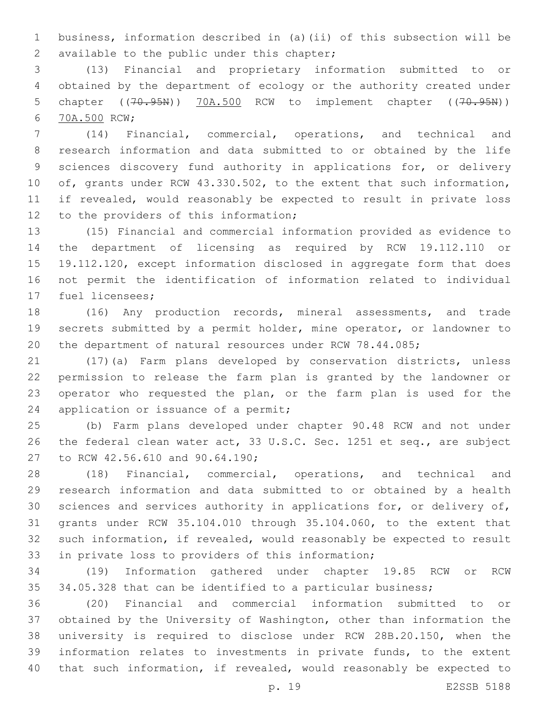business, information described in (a)(ii) of this subsection will be 2 available to the public under this chapter;

 (13) Financial and proprietary information submitted to or obtained by the department of ecology or the authority created under 5 chapter ((70.95N)) 70A.500 RCW to implement chapter ((70.95N)) 70A.500 RCW;6

 (14) Financial, commercial, operations, and technical and research information and data submitted to or obtained by the life sciences discovery fund authority in applications for, or delivery of, grants under RCW 43.330.502, to the extent that such information, if revealed, would reasonably be expected to result in private loss 12 to the providers of this information;

 (15) Financial and commercial information provided as evidence to the department of licensing as required by RCW 19.112.110 or 19.112.120, except information disclosed in aggregate form that does not permit the identification of information related to individual 17 fuel licensees;

 (16) Any production records, mineral assessments, and trade secrets submitted by a permit holder, mine operator, or landowner to the department of natural resources under RCW 78.44.085;

 (17)(a) Farm plans developed by conservation districts, unless permission to release the farm plan is granted by the landowner or operator who requested the plan, or the farm plan is used for the 24 application or issuance of a permit;

 (b) Farm plans developed under chapter 90.48 RCW and not under the federal clean water act, 33 U.S.C. Sec. 1251 et seq., are subject 27 to RCW 42.56.610 and 90.64.190;

 (18) Financial, commercial, operations, and technical and research information and data submitted to or obtained by a health sciences and services authority in applications for, or delivery of, grants under RCW 35.104.010 through 35.104.060, to the extent that such information, if revealed, would reasonably be expected to result 33 in private loss to providers of this information;

 (19) Information gathered under chapter 19.85 RCW or RCW 34.05.328 that can be identified to a particular business;

 (20) Financial and commercial information submitted to or obtained by the University of Washington, other than information the university is required to disclose under RCW 28B.20.150, when the information relates to investments in private funds, to the extent that such information, if revealed, would reasonably be expected to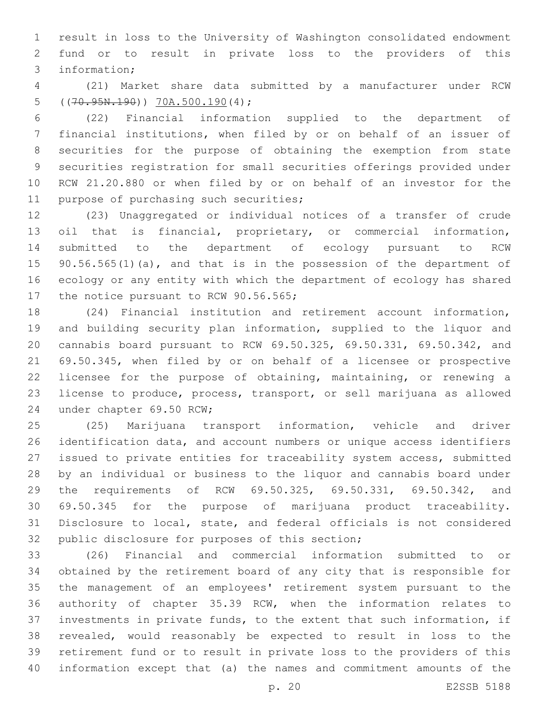result in loss to the University of Washington consolidated endowment fund or to result in private loss to the providers of this 3 information;

 (21) Market share data submitted by a manufacturer under RCW 5  $((70.95N.190))$   $70A.500.190(4)$ ;

 (22) Financial information supplied to the department of financial institutions, when filed by or on behalf of an issuer of securities for the purpose of obtaining the exemption from state securities registration for small securities offerings provided under RCW 21.20.880 or when filed by or on behalf of an investor for the 11 purpose of purchasing such securities;

 (23) Unaggregated or individual notices of a transfer of crude oil that is financial, proprietary, or commercial information, submitted to the department of ecology pursuant to RCW 15 90.56.565(1)(a), and that is in the possession of the department of ecology or any entity with which the department of ecology has shared 17 the notice pursuant to RCW 90.56.565;

 (24) Financial institution and retirement account information, and building security plan information, supplied to the liquor and cannabis board pursuant to RCW 69.50.325, 69.50.331, 69.50.342, and 69.50.345, when filed by or on behalf of a licensee or prospective licensee for the purpose of obtaining, maintaining, or renewing a license to produce, process, transport, or sell marijuana as allowed 24 under chapter 69.50 RCW;

 (25) Marijuana transport information, vehicle and driver identification data, and account numbers or unique access identifiers issued to private entities for traceability system access, submitted by an individual or business to the liquor and cannabis board under the requirements of RCW 69.50.325, 69.50.331, 69.50.342, and 69.50.345 for the purpose of marijuana product traceability. Disclosure to local, state, and federal officials is not considered 32 public disclosure for purposes of this section;

 (26) Financial and commercial information submitted to or obtained by the retirement board of any city that is responsible for the management of an employees' retirement system pursuant to the authority of chapter 35.39 RCW, when the information relates to investments in private funds, to the extent that such information, if revealed, would reasonably be expected to result in loss to the retirement fund or to result in private loss to the providers of this information except that (a) the names and commitment amounts of the

p. 20 E2SSB 5188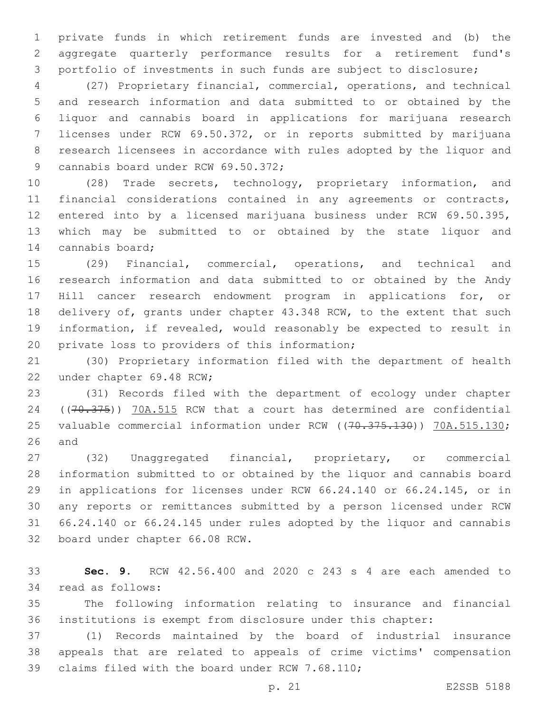private funds in which retirement funds are invested and (b) the aggregate quarterly performance results for a retirement fund's portfolio of investments in such funds are subject to disclosure;

 (27) Proprietary financial, commercial, operations, and technical and research information and data submitted to or obtained by the liquor and cannabis board in applications for marijuana research licenses under RCW 69.50.372, or in reports submitted by marijuana research licensees in accordance with rules adopted by the liquor and 9 cannabis board under RCW 69.50.372;

 (28) Trade secrets, technology, proprietary information, and financial considerations contained in any agreements or contracts, entered into by a licensed marijuana business under RCW 69.50.395, which may be submitted to or obtained by the state liquor and 14 cannabis board;

 (29) Financial, commercial, operations, and technical and research information and data submitted to or obtained by the Andy Hill cancer research endowment program in applications for, or delivery of, grants under chapter 43.348 RCW, to the extent that such information, if revealed, would reasonably be expected to result in 20 private loss to providers of this information;

 (30) Proprietary information filed with the department of health 22 under chapter 69.48 RCW;

 (31) Records filed with the department of ecology under chapter 24 ((70.375)) 70A.515 RCW that a court has determined are confidential 25 valuable commercial information under RCW ((70.375.130)) 70A.515.130; and

 (32) Unaggregated financial, proprietary, or commercial information submitted to or obtained by the liquor and cannabis board in applications for licenses under RCW 66.24.140 or 66.24.145, or in any reports or remittances submitted by a person licensed under RCW 66.24.140 or 66.24.145 under rules adopted by the liquor and cannabis 32 board under chapter 66.08 RCW.

 **Sec. 9.** RCW 42.56.400 and 2020 c 243 s 4 are each amended to 34 read as follows:

 The following information relating to insurance and financial institutions is exempt from disclosure under this chapter:

 (1) Records maintained by the board of industrial insurance appeals that are related to appeals of crime victims' compensation 39 claims filed with the board under RCW 7.68.110;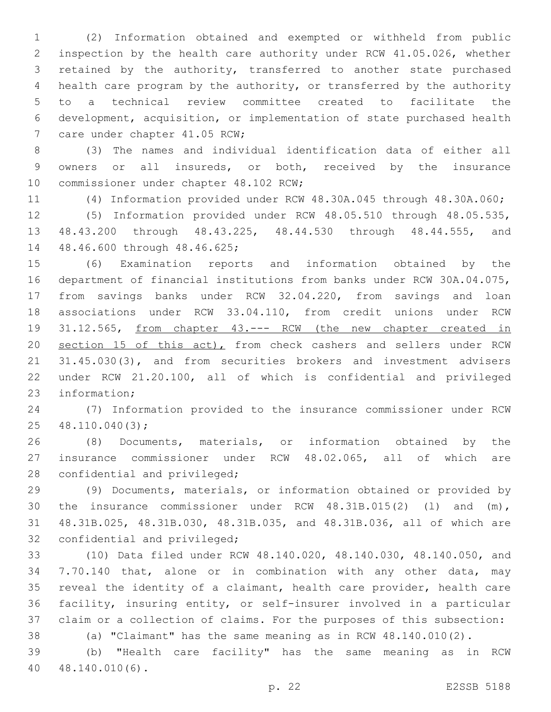(2) Information obtained and exempted or withheld from public inspection by the health care authority under RCW 41.05.026, whether retained by the authority, transferred to another state purchased health care program by the authority, or transferred by the authority to a technical review committee created to facilitate the development, acquisition, or implementation of state purchased health 7 care under chapter 41.05 RCW;

 (3) The names and individual identification data of either all owners or all insureds, or both, received by the insurance 10 commissioner under chapter 48.102 RCW;

(4) Information provided under RCW 48.30A.045 through 48.30A.060;

 (5) Information provided under RCW 48.05.510 through 48.05.535, 48.43.200 through 48.43.225, 48.44.530 through 48.44.555, and 14 48.46.600 through 48.46.625;

 (6) Examination reports and information obtained by the department of financial institutions from banks under RCW 30A.04.075, from savings banks under RCW 32.04.220, from savings and loan associations under RCW 33.04.110, from credit unions under RCW 31.12.565, from chapter 43.--- RCW (the new chapter created in 20 section 15 of this act), from check cashers and sellers under RCW 21 31.45.030(3), and from securities brokers and investment advisers under RCW 21.20.100, all of which is confidential and privileged 23 information;

 (7) Information provided to the insurance commissioner under RCW 25 48.110.040(3);

 (8) Documents, materials, or information obtained by the insurance commissioner under RCW 48.02.065, all of which are 28 confidential and privileged;

 (9) Documents, materials, or information obtained or provided by the insurance commissioner under RCW 48.31B.015(2) (l) and (m), 48.31B.025, 48.31B.030, 48.31B.035, and 48.31B.036, all of which are 32 confidential and privileged;

 (10) Data filed under RCW 48.140.020, 48.140.030, 48.140.050, and 7.70.140 that, alone or in combination with any other data, may reveal the identity of a claimant, health care provider, health care facility, insuring entity, or self-insurer involved in a particular claim or a collection of claims. For the purposes of this subsection:

(a) "Claimant" has the same meaning as in RCW 48.140.010(2).

 (b) "Health care facility" has the same meaning as in RCW 40.140.010(6).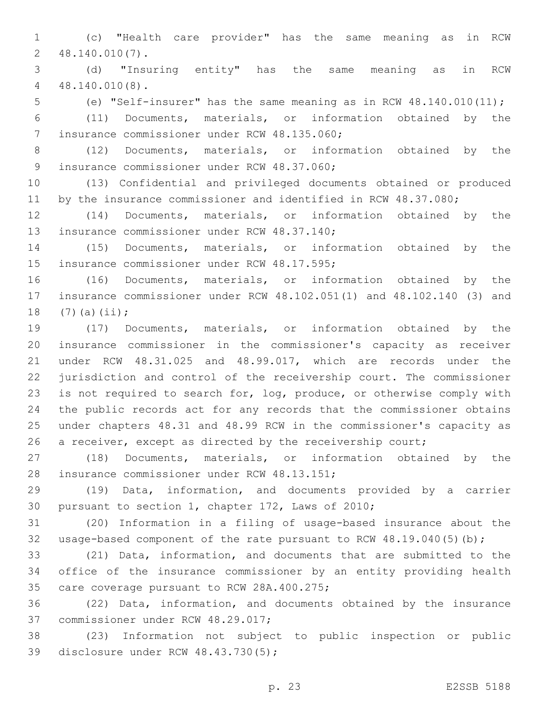(c) "Health care provider" has the same meaning as in RCW 48.140.010(7).2

 (d) "Insuring entity" has the same meaning as in RCW 48.140.010(8).4

(e) "Self-insurer" has the same meaning as in RCW 48.140.010(11);

 (11) Documents, materials, or information obtained by the 7 insurance commissioner under RCW 48.135.060;

 (12) Documents, materials, or information obtained by the 9 insurance commissioner under RCW 48.37.060;

 (13) Confidential and privileged documents obtained or produced 11 by the insurance commissioner and identified in RCW 48.37.080;

 (14) Documents, materials, or information obtained by the 13 insurance commissioner under RCW 48.37.140;

 (15) Documents, materials, or information obtained by the 15 insurance commissioner under RCW 48.17.595;

 (16) Documents, materials, or information obtained by the insurance commissioner under RCW 48.102.051(1) and 48.102.140 (3) and 18  $(7)(a)(ii);$ 

 (17) Documents, materials, or information obtained by the insurance commissioner in the commissioner's capacity as receiver under RCW 48.31.025 and 48.99.017, which are records under the jurisdiction and control of the receivership court. The commissioner is not required to search for, log, produce, or otherwise comply with the public records act for any records that the commissioner obtains under chapters 48.31 and 48.99 RCW in the commissioner's capacity as 26 a receiver, except as directed by the receivership court;

 (18) Documents, materials, or information obtained by the 28 insurance commissioner under RCW 48.13.151;

 (19) Data, information, and documents provided by a carrier 30 pursuant to section 1, chapter 172, Laws of 2010;

 (20) Information in a filing of usage-based insurance about the usage-based component of the rate pursuant to RCW 48.19.040(5)(b);

 (21) Data, information, and documents that are submitted to the office of the insurance commissioner by an entity providing health 35 care coverage pursuant to RCW 28A.400.275;

 (22) Data, information, and documents obtained by the insurance 37 commissioner under RCW 48.29.017;

 (23) Information not subject to public inspection or public 39 disclosure under RCW 48.43.730(5);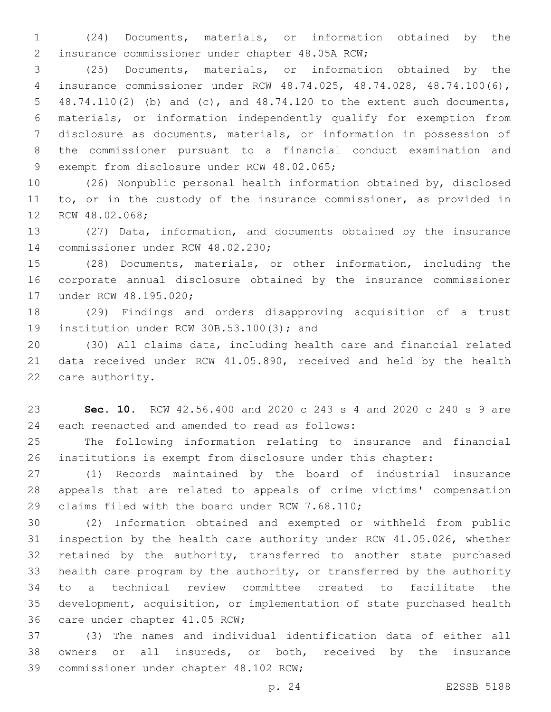(24) Documents, materials, or information obtained by the 2 insurance commissioner under chapter 48.05A RCW;

 (25) Documents, materials, or information obtained by the insurance commissioner under RCW 48.74.025, 48.74.028, 48.74.100(6), 48.74.110(2) (b) and (c), and 48.74.120 to the extent such documents, materials, or information independently qualify for exemption from disclosure as documents, materials, or information in possession of the commissioner pursuant to a financial conduct examination and 9 exempt from disclosure under RCW 48.02.065;

 (26) Nonpublic personal health information obtained by, disclosed 11 to, or in the custody of the insurance commissioner, as provided in 12 RCW 48.02.068;

 (27) Data, information, and documents obtained by the insurance 14 commissioner under RCW 48.02.230;

 (28) Documents, materials, or other information, including the corporate annual disclosure obtained by the insurance commissioner 17 under RCW 48.195.020;

 (29) Findings and orders disapproving acquisition of a trust 19 institution under RCW 30B.53.100(3); and

 (30) All claims data, including health care and financial related data received under RCW 41.05.890, received and held by the health 22 care authority.

 **Sec. 10.** RCW 42.56.400 and 2020 c 243 s 4 and 2020 c 240 s 9 are 24 each reenacted and amended to read as follows:

 The following information relating to insurance and financial institutions is exempt from disclosure under this chapter:

 (1) Records maintained by the board of industrial insurance appeals that are related to appeals of crime victims' compensation 29 claims filed with the board under RCW 7.68.110;

 (2) Information obtained and exempted or withheld from public inspection by the health care authority under RCW 41.05.026, whether 32 retained by the authority, transferred to another state purchased health care program by the authority, or transferred by the authority to a technical review committee created to facilitate the development, acquisition, or implementation of state purchased health 36 care under chapter 41.05 RCW;

 (3) The names and individual identification data of either all owners or all insureds, or both, received by the insurance 39 commissioner under chapter 48.102 RCW;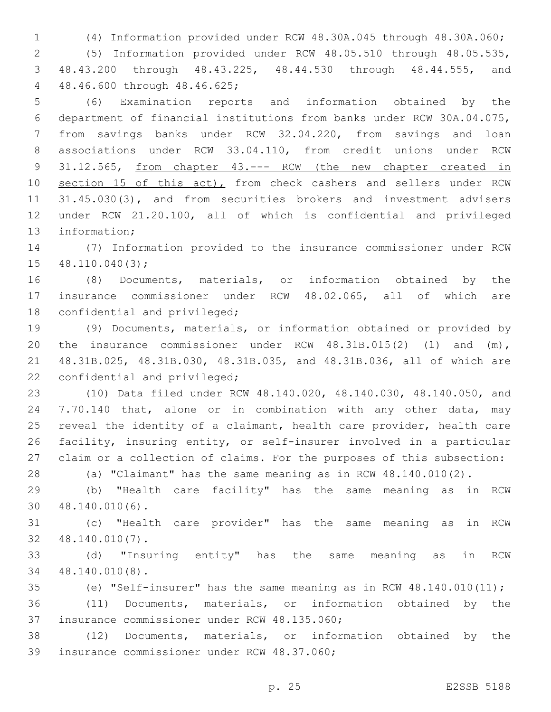(4) Information provided under RCW 48.30A.045 through 48.30A.060; (5) Information provided under RCW 48.05.510 through 48.05.535, 48.43.200 through 48.43.225, 48.44.530 through 48.44.555, and 48.46.600 through 48.46.625;4

 (6) Examination reports and information obtained by the department of financial institutions from banks under RCW 30A.04.075, from savings banks under RCW 32.04.220, from savings and loan associations under RCW 33.04.110, from credit unions under RCW 31.12.565, from chapter 43.--- RCW (the new chapter created in 10 section 15 of this act), from check cashers and sellers under RCW 31.45.030(3), and from securities brokers and investment advisers under RCW 21.20.100, all of which is confidential and privileged 13 information;

 (7) Information provided to the insurance commissioner under RCW  $48.110.040(3)$ ;

 (8) Documents, materials, or information obtained by the insurance commissioner under RCW 48.02.065, all of which are 18 confidential and privileged;

 (9) Documents, materials, or information obtained or provided by the insurance commissioner under RCW 48.31B.015(2) (l) and (m), 48.31B.025, 48.31B.030, 48.31B.035, and 48.31B.036, all of which are 22 confidential and privileged;

 (10) Data filed under RCW 48.140.020, 48.140.030, 48.140.050, and 7.70.140 that, alone or in combination with any other data, may reveal the identity of a claimant, health care provider, health care facility, insuring entity, or self-insurer involved in a particular claim or a collection of claims. For the purposes of this subsection:

(a) "Claimant" has the same meaning as in RCW 48.140.010(2).

 (b) "Health care facility" has the same meaning as in RCW 48.140.010(6).30

 (c) "Health care provider" has the same meaning as in RCW 48.140.010(7).32

 (d) "Insuring entity" has the same meaning as in RCW 48.140.010(8).34

(e) "Self-insurer" has the same meaning as in RCW 48.140.010(11);

 (11) Documents, materials, or information obtained by the 37 insurance commissioner under RCW 48.135.060;

 (12) Documents, materials, or information obtained by the 39 insurance commissioner under RCW 48.37.060;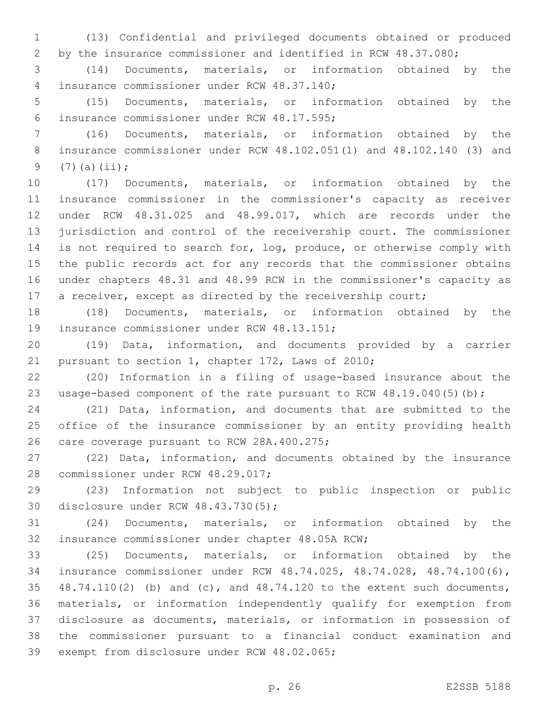(13) Confidential and privileged documents obtained or produced by the insurance commissioner and identified in RCW 48.37.080;

 (14) Documents, materials, or information obtained by the insurance commissioner under RCW 48.37.140;4

 (15) Documents, materials, or information obtained by the 6 insurance commissioner under RCW 48.17.595;

 (16) Documents, materials, or information obtained by the insurance commissioner under RCW 48.102.051(1) and 48.102.140 (3) and 9  $(7)(a)(ii);$ 

 (17) Documents, materials, or information obtained by the insurance commissioner in the commissioner's capacity as receiver under RCW 48.31.025 and 48.99.017, which are records under the jurisdiction and control of the receivership court. The commissioner 14 is not required to search for, log, produce, or otherwise comply with the public records act for any records that the commissioner obtains under chapters 48.31 and 48.99 RCW in the commissioner's capacity as 17 a receiver, except as directed by the receivership court;

 (18) Documents, materials, or information obtained by the 19 insurance commissioner under RCW 48.13.151;

 (19) Data, information, and documents provided by a carrier 21 pursuant to section 1, chapter 172, Laws of 2010;

 (20) Information in a filing of usage-based insurance about the 23 usage-based component of the rate pursuant to RCW 48.19.040(5)(b);

 (21) Data, information, and documents that are submitted to the office of the insurance commissioner by an entity providing health 26 care coverage pursuant to RCW 28A.400.275;

 (22) Data, information, and documents obtained by the insurance 28 commissioner under RCW 48.29.017;

 (23) Information not subject to public inspection or public 30 disclosure under RCW 48.43.730(5);

 (24) Documents, materials, or information obtained by the 32 insurance commissioner under chapter 48.05A RCW;

 (25) Documents, materials, or information obtained by the insurance commissioner under RCW 48.74.025, 48.74.028, 48.74.100(6), 48.74.110(2) (b) and (c), and 48.74.120 to the extent such documents, materials, or information independently qualify for exemption from disclosure as documents, materials, or information in possession of the commissioner pursuant to a financial conduct examination and 39 exempt from disclosure under RCW 48.02.065;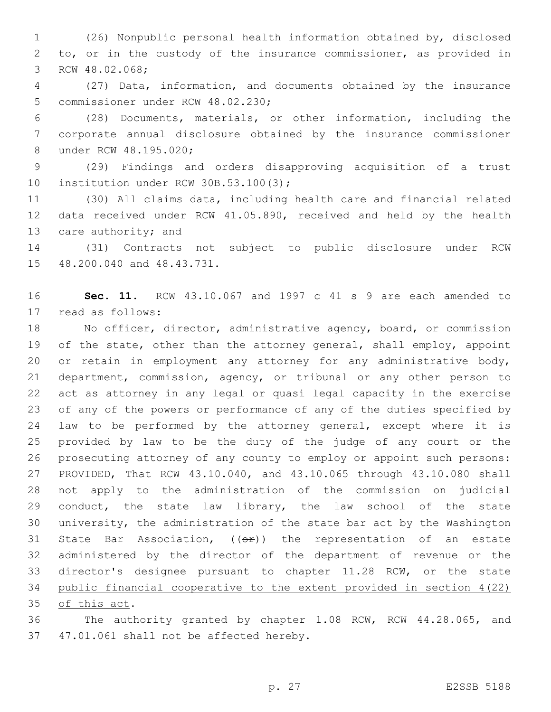(26) Nonpublic personal health information obtained by, disclosed to, or in the custody of the insurance commissioner, as provided in 3 RCW 48.02.068;

 (27) Data, information, and documents obtained by the insurance 5 commissioner under RCW 48.02.230;

 (28) Documents, materials, or other information, including the corporate annual disclosure obtained by the insurance commissioner 8 under RCW 48.195.020;

 (29) Findings and orders disapproving acquisition of a trust 10 institution under RCW 30B.53.100(3);

 (30) All claims data, including health care and financial related data received under RCW 41.05.890, received and held by the health 13 care authority; and

 (31) Contracts not subject to public disclosure under RCW 15 48.200.040 and 48.43.731.

 **Sec. 11.** RCW 43.10.067 and 1997 c 41 s 9 are each amended to 17 read as follows:

 No officer, director, administrative agency, board, or commission 19 of the state, other than the attorney general, shall employ, appoint 20 or retain in employment any attorney for any administrative body, department, commission, agency, or tribunal or any other person to act as attorney in any legal or quasi legal capacity in the exercise of any of the powers or performance of any of the duties specified by law to be performed by the attorney general, except where it is provided by law to be the duty of the judge of any court or the prosecuting attorney of any county to employ or appoint such persons: PROVIDED, That RCW 43.10.040, and 43.10.065 through 43.10.080 shall not apply to the administration of the commission on judicial conduct, the state law library, the law school of the state university, the administration of the state bar act by the Washington 31 State Bar Association,  $((\theta \cdot \hat{r}))$  the representation of an estate administered by the director of the department of revenue or the 33 director's designee pursuant to chapter 11.28 RCW, or the state public financial cooperative to the extent provided in section 4(22) 35 of this act.

 The authority granted by chapter 1.08 RCW, RCW 44.28.065, and 37 47.01.061 shall not be affected hereby.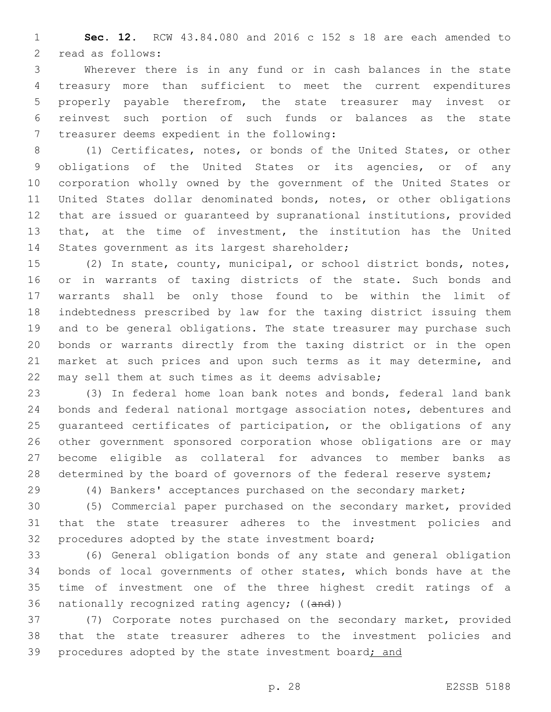**Sec. 12.** RCW 43.84.080 and 2016 c 152 s 18 are each amended to 2 read as follows:

 Wherever there is in any fund or in cash balances in the state treasury more than sufficient to meet the current expenditures properly payable therefrom, the state treasurer may invest or reinvest such portion of such funds or balances as the state 7 treasurer deems expedient in the following:

 (1) Certificates, notes, or bonds of the United States, or other obligations of the United States or its agencies, or of any corporation wholly owned by the government of the United States or United States dollar denominated bonds, notes, or other obligations that are issued or guaranteed by supranational institutions, provided that, at the time of investment, the institution has the United 14 States government as its largest shareholder;

 (2) In state, county, municipal, or school district bonds, notes, or in warrants of taxing districts of the state. Such bonds and warrants shall be only those found to be within the limit of indebtedness prescribed by law for the taxing district issuing them and to be general obligations. The state treasurer may purchase such bonds or warrants directly from the taxing district or in the open 21 market at such prices and upon such terms as it may determine, and may sell them at such times as it deems advisable;

 (3) In federal home loan bank notes and bonds, federal land bank bonds and federal national mortgage association notes, debentures and guaranteed certificates of participation, or the obligations of any other government sponsored corporation whose obligations are or may become eligible as collateral for advances to member banks as 28 determined by the board of governors of the federal reserve system;

(4) Bankers' acceptances purchased on the secondary market;

 (5) Commercial paper purchased on the secondary market, provided that the state treasurer adheres to the investment policies and 32 procedures adopted by the state investment board;

 (6) General obligation bonds of any state and general obligation bonds of local governments of other states, which bonds have at the time of investment one of the three highest credit ratings of a 36 nationally recognized rating agency; ((and))

 (7) Corporate notes purchased on the secondary market, provided that the state treasurer adheres to the investment policies and 39 procedures adopted by the state investment board; and